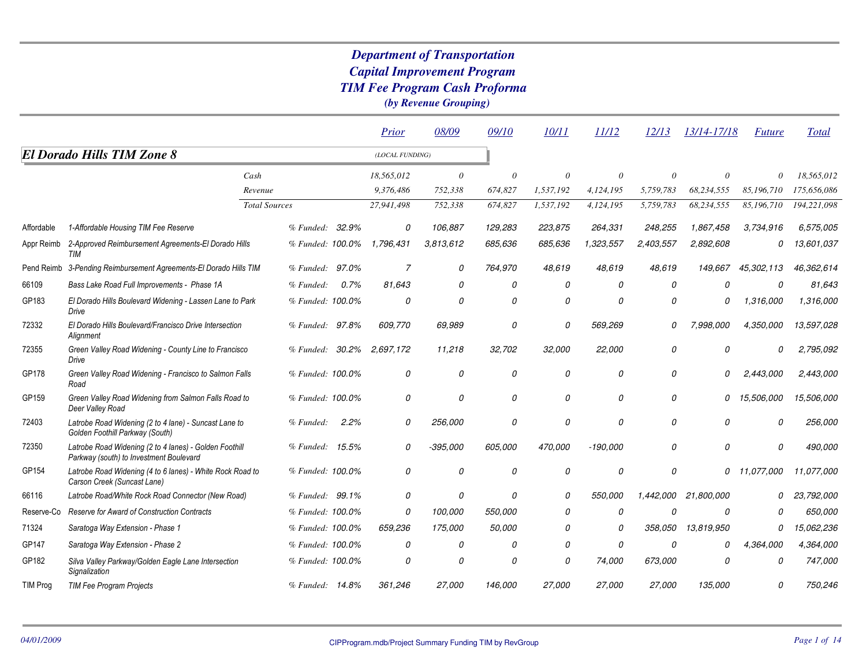|                 |                                                                                                   |                      |                  |       | Prior           | 08/09      | 09/10    | <i>10/11</i> | <i>11/12</i> | 12/13     | 13/14-17/18 | <i><b>Future</b></i> | <b>Total</b> |
|-----------------|---------------------------------------------------------------------------------------------------|----------------------|------------------|-------|-----------------|------------|----------|--------------|--------------|-----------|-------------|----------------------|--------------|
|                 | <b>El Dorado Hills TIM Zone 8</b>                                                                 |                      |                  |       | (LOCAL FUNDING) |            |          |              |              |           |             |                      |              |
|                 |                                                                                                   | Cash                 |                  |       | 18,565,012      | $\theta$   | $\theta$ | $\theta$     | $\theta$     | $\theta$  | $\theta$    | $\Omega$             | 18,565,012   |
|                 |                                                                                                   | Revenue              |                  |       | 9,376,486       | 752,338    | 674,827  | 1,537,192    | 4,124,195    | 5,759,783 | 68,234,555  | 85,196,710           | 175,656,086  |
|                 |                                                                                                   | <b>Total Sources</b> |                  |       | 27,941,498      | 752,338    | 674,827  | 1,537,192    | 4,124,195    | 5,759,783 | 68,234,555  | 85,196,710           | 194,221,098  |
| Affordable      | 1-Affordable Housing TIM Fee Reserve                                                              |                      | % Funded:        | 32.9% | 0               | 106,887    | 129,283  | 223,875      | 264,331      | 248,255   | 1.867,458   | 3,734,916            | 6,575,005    |
| Appr Reimb      | 2-Approved Reimbursement Agreements-El Dorado Hills<br>TIM                                        |                      | % Funded: 100.0% |       | 1,796,431       | 3.813.612  | 685,636  | 685,636      | 1,323,557    | 2,403,557 | 2,892,608   | 0                    | 13,601,037   |
| Pend Reimb      | 3-Pending Reimbursement Agreements-El Dorado Hills TIM                                            |                      | % Funded:        | 97.0% | $\overline{7}$  | 0          | 764,970  | 48,619       | 48.619       | 48.619    | 149.667     | 45,302,113           | 46,362,614   |
| 66109           | Bass Lake Road Full Improvements - Phase 1A                                                       |                      | % Funded:        | 0.7%  | 81.643          | 0          | 0        | 0            | 0            | 0         | 0           | 0                    | 81.643       |
| GP183           | El Dorado Hills Boulevard Widening - Lassen Lane to Park<br>Drive                                 |                      | % Funded: 100.0% |       | 0               | 0          | 0        | 0            | 0            | 0         | 0           | 1,316,000            | 1,316,000    |
| 72332           | El Dorado Hills Boulevard/Francisco Drive Intersection<br>Alignment                               |                      | % Funded: 97.8%  |       | 609,770         | 69,989     | 0        | 0            | 569,269      | O         | 7,998,000   | 4,350,000            | 13,597,028   |
| 72355           | Green Valley Road Widening - County Line to Francisco<br>Drive                                    |                      | % Funded:        | 30.2% | 2,697,172       | 11,218     | 32,702   | 32,000       | 22,000       | 0         | 0           | 0                    | 2,795,092    |
| GP178           | Green Valley Road Widening - Francisco to Salmon Falls<br>Road                                    |                      | % Funded: 100.0% |       | 0               | 0          | 0        | 0            | 0            | 0         | $\Omega$    | 2,443,000            | 2,443,000    |
| GP159           | Green Valley Road Widening from Salmon Falls Road to<br>Deer Valley Road                          |                      | % Funded: 100.0% |       | 0               | 0          | 0        | 0            | 0            | 0         | 0           | 15,506,000           | 15,506,000   |
| 72403           | Latrobe Road Widening (2 to 4 lane) - Suncast Lane to<br>Golden Foothill Parkway (South)          |                      | % Funded:        | 2.2%  | 0               | 256,000    | 0        | 0            | 0            | 0         | 0           | 0                    | 256,000      |
| 72350           | Latrobe Road Widening (2 to 4 lanes) - Golden Foothill<br>Parkway (south) to Investment Boulevard |                      | % Funded: 15.5%  |       | 0               | $-395,000$ | 605,000  | 470,000      | $-190,000$   | 0         | 0           | 0                    | 490.000      |
| GP154           | Latrobe Road Widening (4 to 6 lanes) - White Rock Road to<br>Carson Creek (Suncast Lane)          |                      | % Funded: 100.0% |       | 0               | 0          | 0        | 0            | 0            | 0         | 0           | 11,077,000           | 11,077,000   |
| 66116           | Latrobe Road/White Rock Road Connector (New Road)                                                 |                      | % Funded: 99.1%  |       | 0               | 0          | 0        | 0            | 550,000      | 1,442,000 | 21,800,000  | 0                    | 23,792,000   |
| Reserve-Co      | Reserve for Award of Construction Contracts                                                       |                      | % Funded: 100.0% |       | 0               | 100,000    | 550.000  | 0            | 0            | Ο         | 0           | n                    | 650.000      |
| 71324           | Saratoga Way Extension - Phase 1                                                                  |                      | % Funded: 100.0% |       | 659,236         | 175,000    | 50,000   | 0            | 0            | 358,050   | 13,819,950  | 0                    | 15,062,236   |
| GP147           | Saratoga Way Extension - Phase 2                                                                  |                      | % Funded: 100.0% |       | 0               | 0          | 0        | 0            | 0            | 0         | 0           | 4,364,000            | 4,364,000    |
| GP182           | Silva Valley Parkway/Golden Eagle Lane Intersection<br>Signalization                              |                      | % Funded: 100.0% |       | 0               | 0          | $\theta$ | O            | 74,000       | 673,000   | 0           | 0                    | 747,000      |
| <b>TIM Prog</b> | TIM Fee Program Projects                                                                          |                      | % Funded: 14.8%  |       | 361,246         | 27,000     | 146,000  | 27,000       | 27,000       | 27,000    | 135,000     | 0                    | 750,246      |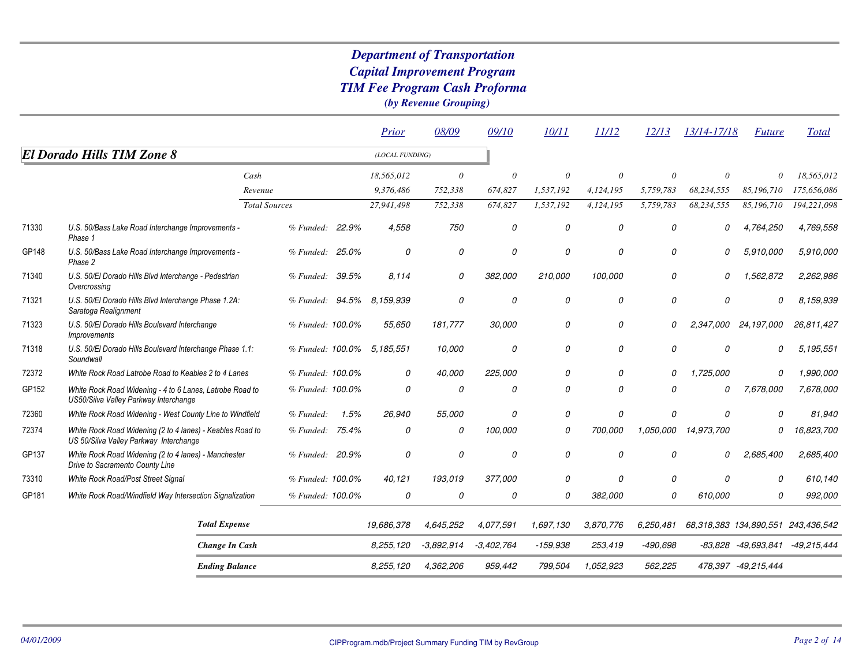|       |                                                                                                     |                      |                  |       | Prior                      | 08/09        | 09/10         | 10/11      | 11/12         | 12/13      | 13/14-17/18 | <i>Future</i>          | <b>Total</b> |
|-------|-----------------------------------------------------------------------------------------------------|----------------------|------------------|-------|----------------------------|--------------|---------------|------------|---------------|------------|-------------|------------------------|--------------|
|       | <b>El Dorado Hills TIM Zone 8</b>                                                                   |                      |                  |       | (LOCAL FUNDING)            |              |               |            |               |            |             |                        |              |
|       |                                                                                                     | Cash                 |                  |       | 18,565,012                 | $\theta$     | $\theta$      | $\theta$   | $\theta$      | $\theta$   | $\theta$    | $\theta$               | 18,565,012   |
|       |                                                                                                     | Revenue              |                  |       | 9,376,486                  | 752,338      | 674,827       | 1,537,192  | 4,124,195     | 5,759,783  | 68,234,555  | 85,196,710             | 175,656,086  |
|       |                                                                                                     | <b>Total Sources</b> |                  |       | 27,941,498                 | 752,338      | 674,827       | 1,537,192  | 4,124,195     | 5,759,783  | 68,234,555  | 85,196,710             | 194,221,098  |
| 71330 | U.S. 50/Bass Lake Road Interchange Improvements -<br>Phase 1                                        |                      | % Funded: 22.9%  |       | 4,558                      | 750          | 0             | 0          | 0             | 0          | 0           | 4,764,250              | 4,769,558    |
| GP148 | U.S. 50/Bass Lake Road Interchange Improvements -<br>Phase 2                                        |                      | % Funded: 25.0%  |       | 0                          | 0            | 0             | 0          | 0             | 0          | 0           | 5,910,000              | 5,910,000    |
| 71340 | U.S. 50/El Dorado Hills Blvd Interchange - Pedestrian<br>Overcrossing                               |                      | % Funded: 39.5%  |       | 8.114                      | 0            | 382,000       | 210,000    | 100,000       | 0          | 0           | 1,562,872              | 2,262,986    |
| 71321 | U.S. 50/El Dorado Hills Blvd Interchange Phase 1.2A:<br>Saratoga Realignment                        |                      | % Funded: 94.5%  |       | 8.159.939                  | 0            | $\mathcal{O}$ | 0          | 0             | 0          | 0           | 0                      | 8,159,939    |
| 71323 | U.S. 50/El Dorado Hills Boulevard Interchange<br><i>Improvements</i>                                |                      | % Funded: 100.0% |       | 55,650                     | 181,777      | 30,000        | 0          | 0             | 0          |             | 2,347,000 24,197,000   | 26.811.427   |
| 71318 | U.S. 50/El Dorado Hills Boulevard Interchange Phase 1.1:<br>Soundwall                               |                      |                  |       | % Funded: 100.0% 5.185.551 | 10,000       | 0             | 0          | 0             | 0          | 0           | 0                      | 5,195,551    |
| 72372 | White Rock Road Latrobe Road to Keables 2 to 4 Lanes                                                |                      | % Funded: 100.0% |       | 0                          | 40,000       | 225,000       | 0          | $\mathcal{O}$ | 0          | 1,725,000   | $\mathcal{O}$          | 1,990,000    |
| GP152 | White Rock Road Widening - 4 to 6 Lanes, Latrobe Road to<br>US50/Silva Valley Parkway Interchange   |                      | % Funded: 100.0% |       | 0                          | 0            | 0             | 0          | 0             | 0          | 0           | 7,678,000              | 7,678,000    |
| 72360 | White Rock Road Widening - West County Line to Windfield                                            |                      | % Funded:        | 1.5%  | 26,940                     | 55,000       | 0             | 0          | 0             | 0          | 0           | $\Omega$               | 81,940       |
| 72374 | White Rock Road Widening (2 to 4 lanes) - Keables Road to<br>US 50/Silva Valley Parkway Interchange |                      | % Funded:        | 75.4% | 0                          | 0            | 100,000       | 0          | 700.000       | 1,050,000  | 14,973,700  | $\Omega$               | 16,823,700   |
| GP137 | White Rock Road Widening (2 to 4 lanes) - Manchester<br>Drive to Sacramento County Line             |                      | % Funded: 20.9%  |       | $\theta$                   | 0            | 0             | 0          | 0             | 0          | 0           | 2,685,400              | 2,685,400    |
| 73310 | White Rock Road/Post Street Signal                                                                  |                      | % Funded: 100.0% |       | 40,121                     | 193,019      | 377,000       | 0          | 0             | 0          | $\Omega$    | $\theta$               | 610,140      |
| GP181 | White Rock Road/Windfield Way Intersection Signalization                                            |                      | % Funded: 100.0% |       | 0                          | 0            | 0             | 0          | 382,000       | 0          | 610,000     | 0                      | 992,000      |
|       | <b>Total Expense</b>                                                                                |                      |                  |       | 19,686,378                 | 4,645,252    | 4,077,591     | 1,697,130  | 3,870,776     | 6,250,481  |             | 68,318,383 134,890,551 | 243,436,542  |
|       | <b>Change In Cash</b>                                                                               |                      |                  |       | 8,255,120                  | $-3,892,914$ | $-3,402,764$  | $-159,938$ | 253,419       | $-490,698$ |             | -83,828 -49,693,841    | -49,215,444  |
|       | <b>Ending Balance</b>                                                                               |                      |                  |       | 8,255,120                  | 4,362,206    | 959,442       | 799,504    | 1,052,923     | 562,225    |             | 478,397 -49,215,444    |              |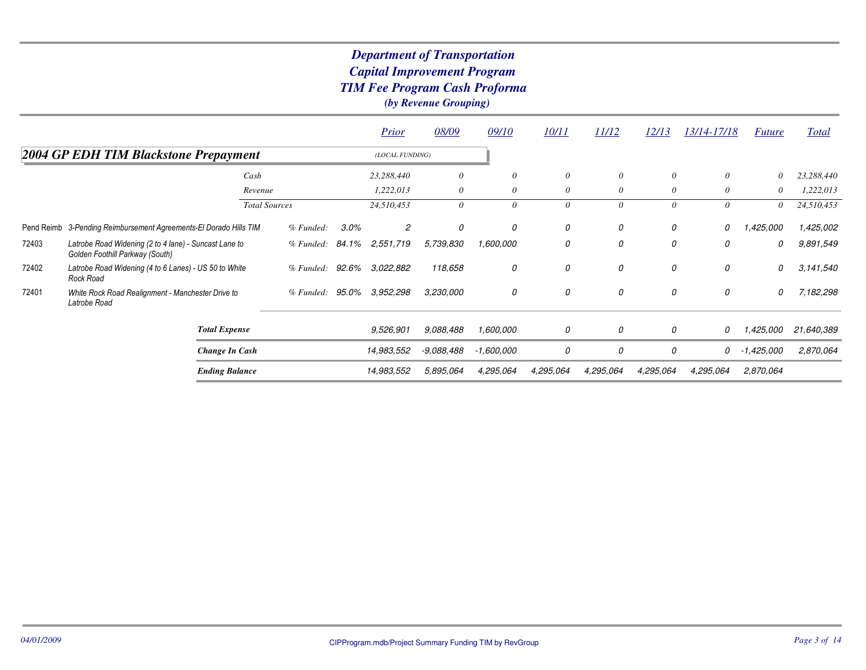|       |                                                                                          |                      |                 |       | <b>Prior</b>    | 08/09      | 09/10      | 10/11     | 11/12     | <u>12/13</u> | <u>13/14-17/18</u> | <i>Future</i> | Total      |
|-------|------------------------------------------------------------------------------------------|----------------------|-----------------|-------|-----------------|------------|------------|-----------|-----------|--------------|--------------------|---------------|------------|
|       | 2004 GP EDH TIM Blackstone Prepayment                                                    |                      |                 |       | (LOCAL FUNDING) |            |            |           |           |              |                    |               |            |
|       |                                                                                          | Cash                 |                 |       | 23,288,440      | $\theta$   | 0          | $\theta$  | $\theta$  | $\theta$     | $\theta$           | 0             | 23,288,440 |
|       |                                                                                          | Revenue              |                 |       | 1,222,013       | $\theta$   | 0          | $\theta$  | $\theta$  | $\theta$     | $\theta$           | 0             | 1,222,013  |
|       |                                                                                          | <b>Total Sources</b> |                 |       | 24,510,453      | 0          | $\theta$   | 0         | 0         | 0            | $\theta$           | 0             | 24,510,453 |
|       | Pend Reimb 3-Pending Reimbursement Agreements-El Dorado Hills TIM                        |                      | % Funded:       | 3.0%  | 2               | 0          | 0          | 0         | 0         | 0            | 0                  | 1,425,000     | 1,425,002  |
| 72403 | Latrobe Road Widening (2 to 4 lane) - Suncast Lane to<br>Golden Foothill Parkway (South) |                      | % Funded: 84.1% |       | 2,551,719       | 5,739,830  | 1,600,000  | 0         | 0         | 0            | 0                  | 0             | 9,891,549  |
| 72402 | Latrobe Road Widening (4 to 6 Lanes) - US 50 to White<br>Rock Road                       |                      | % Funded:       | 92.6% | 3,022,882       | 118,658    | 0          | 0         | 0         | 0            | 0                  | 0             | 3,141,540  |
| 72401 | White Rock Road Realignment - Manchester Drive to<br>Latrobe Road                        |                      | % Funded: 95.0% |       | 3,952,298       | 3,230,000  | 0          | 0         | 0         | 0            | 0                  | 0             | 7,182,298  |
|       | <b>Total Expense</b>                                                                     |                      |                 |       | 9,526,901       | 9.088.488  | 1,600,000  | 0         | 0         | 0            | 0                  | 1,425,000     | 21,640,389 |
|       | Change In Cash                                                                           |                      |                 |       | 14,983,552      | -9,088,488 | -1,600,000 | 0         | 0         | 0            | 0                  | $-1,425,000$  | 2,870,064  |
|       | <b>Ending Balance</b>                                                                    |                      |                 |       | 14,983,552      | 5,895,064  | 4,295,064  | 4,295,064 | 4,295,064 | 4,295,064    | 4,295,064          | 2,870,064     |            |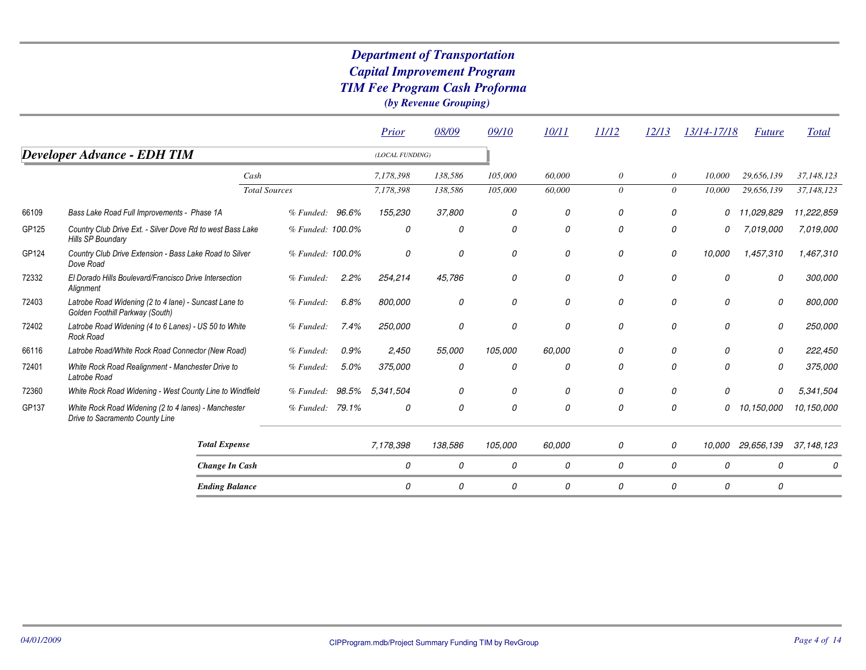|       |                                                                                          |                      |       | Prior           | 08/09         | 09/10   | 10/11         | 11/12    | 12/13         | 13/14-17/18 | <i>Future</i>     | Total        |
|-------|------------------------------------------------------------------------------------------|----------------------|-------|-----------------|---------------|---------|---------------|----------|---------------|-------------|-------------------|--------------|
|       | <b>Developer Advance - EDH TIM</b>                                                       |                      |       | (LOCAL FUNDING) |               |         |               |          |               |             |                   |              |
|       |                                                                                          | Cash                 |       | 7,178,398       | 138,586       | 105,000 | 60,000        | $\theta$ | $\theta$      | 10,000      | 29,656,139        | 37,148,123   |
|       |                                                                                          | <b>Total Sources</b> |       | 7,178,398       | 138,586       | 105,000 | 60,000        | $\theta$ | $\theta$      | 10,000      | 29,656,139        | 37,148,123   |
| 66109 | Bass Lake Road Full Improvements - Phase 1A                                              | % Funded: 96.6%      |       | 155,230         | 37,800        | 0       | 0             | 0        | 0             | 0           | 11,029,829        | 11,222,859   |
| GP125 | Country Club Drive Ext. - Silver Dove Rd to west Bass Lake<br>Hills SP Boundary          | % Funded: 100.0%     |       | 0               | 0             | 0       | 0             | 0        | 0             | 0           | 7.019.000         | 7,019,000    |
| GP124 | Country Club Drive Extension - Bass Lake Road to Silver<br>Dove Road                     | % Funded: 100.0%     |       | 0               | 0             | 0       | 0             | 0        | 0             | 10,000      | 1,457,310         | 1,467,310    |
| 72332 | El Dorado Hills Boulevard/Francisco Drive Intersection<br>Alignment                      | % Funeded:           | 2.2%  | 254,214         | 45,786        | 0       | 0             | 0        | 0             | 0           | 0                 | 300,000      |
| 72403 | Latrobe Road Widening (2 to 4 lane) - Suncast Lane to<br>Golden Foothill Parkway (South) | % Funded:            | 6.8%  | 800,000         | 0             | 0       | 0             | 0        | 0             | 0           | 0                 | 800,000      |
| 72402 | Latrobe Road Widening (4 to 6 Lanes) - US 50 to White<br>Rock Road                       | % Funded:            | 7.4%  | 250,000         | 0             | 0       | $\mathcal{O}$ | 0        | 0             | 0           | 0                 | 250,000      |
| 66116 | Latrobe Road/White Rock Road Connector (New Road)                                        | % Funded:            | 0.9%  | 2,450           | 55,000        | 105.000 | 60.000        | 0        | 0             | 0           | 0                 | 222,450      |
| 72401 | White Rock Road Realignment - Manchester Drive to<br>Latrobe Road                        | % Funded:            | 5.0%  | 375,000         | 0             | 0       | 0             | 0        | 0             | 0           | 0                 | 375,000      |
| 72360 | White Rock Road Widening - West County Line to Windfield                                 | % Funded:            | 98.5% | 5.341.504       |               | 0       | 0             | 0        | 0             | 0           | 0                 | 5,341,504    |
| GP137 | White Rock Road Widening (2 to 4 lanes) - Manchester<br>Drive to Sacramento County Line  | % Funded: 79.1%      |       | 0               | $\mathcal{O}$ | 0       | $\Omega$      | 0        | $\mathcal{O}$ | 0           | 10,150,000        | 10,150,000   |
|       | <b>Total Expense</b>                                                                     |                      |       | 7,178,398       | 138,586       | 105,000 | 60,000        | 0        | $\mathcal{O}$ |             | 10,000 29,656,139 | 37, 148, 123 |
|       | <b>Change In Cash</b>                                                                    |                      |       | 0               | 0             | 0       | 0             | 0        | 0             | 0           | 0                 |              |
|       | <b>Ending Balance</b>                                                                    |                      |       | 0               | 0             | 0       | 0             | 0        | 0             | 0           | 0                 |              |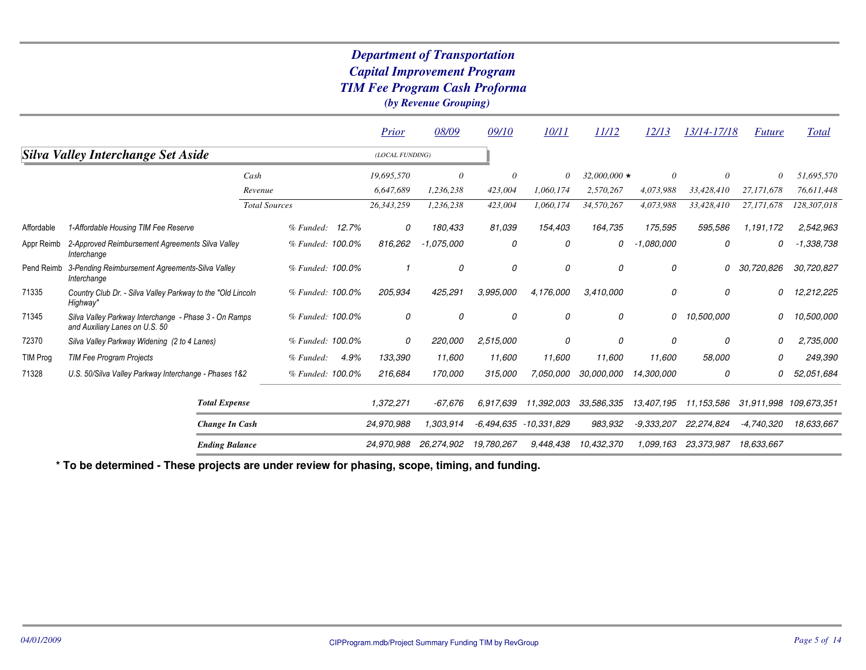|                 |                                                                                         |                       |                  | <b>Prior</b>    | 08/09        | 09/10      | 10/11       | 11/12              | 12/13        | 13/14-17/18 | <i>Future</i>          | <b>Total</b> |
|-----------------|-----------------------------------------------------------------------------------------|-----------------------|------------------|-----------------|--------------|------------|-------------|--------------------|--------------|-------------|------------------------|--------------|
|                 | Silva Valley Interchange Set Aside                                                      |                       |                  | (LOCAL FUNDING) |              |            |             |                    |              |             |                        |              |
|                 |                                                                                         | Cash                  |                  | 19,695,570      | $\theta$     | $\theta$   | 0           | $32,000,000 \star$ | $\theta$     | 0           | 0                      | 51,695,570   |
|                 |                                                                                         | Revenue               |                  | 6,647,689       | 1,236,238    | 423,004    | 1,060,174   | 2,570,267          | 4,073,988    | 33,428,410  | 27,171,678             | 76,611,448   |
|                 |                                                                                         | <b>Total Sources</b>  |                  | 26,343,259      | 1,236,238    | 423,004    | 1,060,174   | 34,570,267         | 4,073,988    | 33,428,410  | 27,171,678             | 128,307,018  |
| Affordable      | 1-Affordable Housing TIM Fee Reserve                                                    |                       | % Funded: 12.7%  | 0               | 180,433      | 81,039     | 154,403     | 164,735            | 175,595      | 595,586     | 1,191,172              | 2,542,963    |
| Appr Reimb      | 2-Approved Reimbursement Agreements Silva Valley<br>Interchange                         |                       | % Funded: 100.0% | 816,262         | $-1,075,000$ | 0          | 0           | 0                  | $-1,080,000$ | 0           | 0                      | $-1,338,738$ |
| Pend Reimb      | 3-Pending Reimbursement Agreements-Silva Valley<br>Interchange                          |                       | % Funded: 100.0% |                 | 0            | 0          | 0           | 0                  | 0            | 0           | 30,720,826             | 30,720,827   |
| 71335           | Country Club Dr. - Silva Valley Parkway to the "Old Lincoln"<br>Highway"                |                       | % Funded: 100.0% | 205,934         | 425,291      | 3,995,000  | 4,176,000   | 3,410,000          | 0            | 0           | 0                      | 12,212,225   |
| 71345           | Silva Valley Parkway Interchange - Phase 3 - On Ramps<br>and Auxiliary Lanes on U.S. 50 |                       | % Funded: 100.0% | 0               | 0            | 0          | 0           | 0                  | 0            | 10,500,000  | 0                      | 10,500,000   |
| 72370           | Silva Valley Parkway Widening (2 to 4 Lanes)                                            |                       | % Funded: 100.0% | 0               | 220,000      | 2,515,000  | 0           | 0                  | 0            | 0           | 0                      | 2,735,000    |
| <b>TIM Prog</b> | <b>TIM Fee Program Projects</b>                                                         |                       | % Funded:        | 4.9%<br>133,390 | 11,600       | 11,600     | 11,600      | 11,600             | 11,600       | 58,000      | O                      | 249,390      |
| 71328           | U.S. 50/Silva Valley Parkway Interchange - Phases 1&2                                   |                       | % Funded: 100.0% | 216,684         | 170,000      | 315,000    | 7,050,000   | 30,000,000         | 14,300,000   | 0           | 0                      | 52,051,684   |
|                 |                                                                                         | <b>Total Expense</b>  |                  | 1,372,271       | $-67.676$    | 6,917,639  | 11,392,003  | 33,586,335         | 13,407,195   | 11,153,586  | 31,911,998 109,673,351 |              |
|                 |                                                                                         | Change In Cash        |                  | 24,970,988      | 1,303,914    | -6.494.635 | -10,331,829 | 983,932            | $-9,333,207$ | 22.274.824  | $-4,740,320$           | 18,633,667   |
|                 |                                                                                         | <b>Ending Balance</b> |                  | 24,970,988      | 26,274,902   | 19,780,267 | 9,448,438   | 10,432,370         | 1,099,163    | 23,373,987  | 18,633,667             |              |

**\* To be determined - These projects are under review for phasing, scope, timing, and funding.**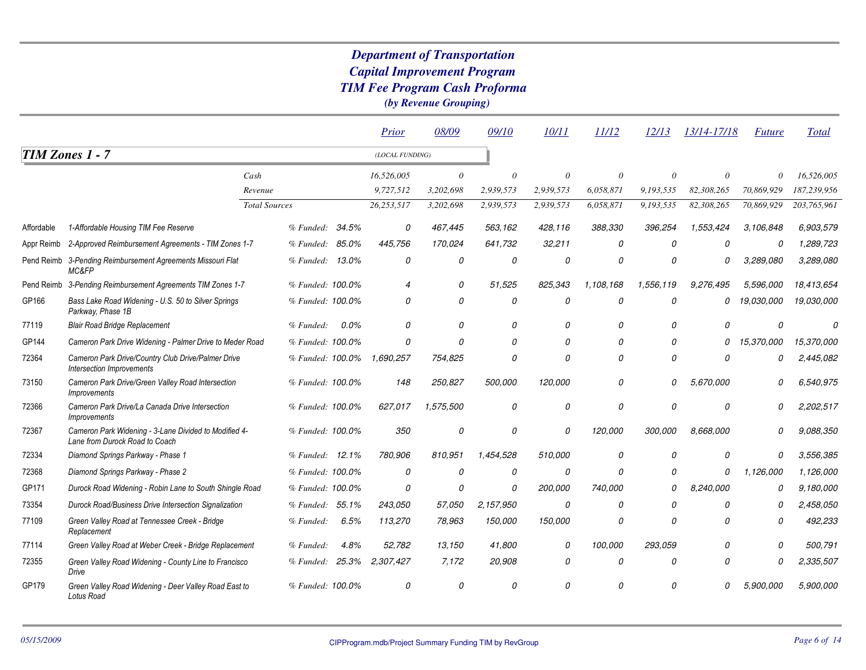|            |                                                                                         |                      |                  |         | Prior                    | 08/09     | 09/10     | 10/11     | 11/12     | 12/13     | 13/14-17/18 | <b>Future</b> | <b>Total</b> |
|------------|-----------------------------------------------------------------------------------------|----------------------|------------------|---------|--------------------------|-----------|-----------|-----------|-----------|-----------|-------------|---------------|--------------|
|            | <b>TIM Zones 1 - 7</b>                                                                  |                      |                  |         | (LOCAL FUNDING)          |           |           |           |           |           |             |               |              |
|            |                                                                                         | Cash                 |                  |         | 16,526,005               | 0         | $\theta$  | 0         |           | $\theta$  | 0           | $\theta$      | 16,526,005   |
|            |                                                                                         | Revenue              |                  |         | 9,727,512                | 3,202,698 | 2,939,573 | 2,939,573 | 6,058,871 | 9,193,535 | 82,308,265  | 70,869,929    | 187,239,956  |
|            |                                                                                         | <b>Total Sources</b> |                  |         | 26,253,517               | 3,202,698 | 2,939,573 | 2,939,573 | 6,058,871 | 9,193,535 | 82,308,265  | 70,869,929    | 203,765,961  |
| Affordable | 1-Affordable Housing TIM Fee Reserve                                                    |                      | % Funded:        | 34.5%   | 0                        | 467,445   | 563,162   | 428,116   | 388,330   | 396,254   | 1,553,424   | 3,106,848     | 6,903,579    |
| Appr Reimb | 2-Approved Reimbursement Agreements - TIM Zones 1-7                                     |                      | % Funded:        | 85.0%   | 445,756                  | 170,024   | 641,732   | 32,211    | 0         | 0         | 0           | 0             | 1,289,723    |
|            | Pend Reimb 3-Pending Reimbursement Agreements Missouri Flat<br>MC&FP                    |                      | % Funded: 13.0%  |         | 0                        | 0         | 0         | 0         | 0         | 0         | 0           | 3,289,080     | 3,289,080    |
|            | Pend Reimb 3-Pending Reimbursement Agreements TIM Zones 1-7                             |                      | % Funded: 100.0% |         | $\overline{\mathcal{A}}$ | 0         | 51,525    | 825.343   | 1,108,168 | 1,556,119 | 9,276,495   | 5,596,000     | 18,413,654   |
| GP166      | Bass Lake Road Widening - U.S. 50 to Silver Springs<br>Parkway, Phase 1B                |                      | % Funded: 100.0% |         | 0                        | 0         | 0         | 0         | $\Omega$  | 0         | 0           | 19,030,000    | 19,030,000   |
| 77119      | <b>Blair Road Bridge Replacement</b>                                                    |                      | % Funded:        | $0.0\%$ | $\Omega$                 | $\Omega$  | 0         | 0         | 0         | 0         | 0           | 0             | O            |
| GP144      | Cameron Park Drive Widening - Palmer Drive to Meder Road                                |                      | % Funded: 100.0% |         | $\mathcal{O}$            | $\Omega$  | 0         | 0         | $\Omega$  | O         | 0           | 15,370,000    | 15,370,000   |
| 72364      | Cameron Park Drive/Country Club Drive/Palmer Drive<br>Intersection Improvements         |                      | % Funded: 100.0% |         | 1,690,257                | 754,825   | 0         | 0         | 0         | $\Omega$  | 0           | 0             | 2,445,082    |
| 73150      | Cameron Park Drive/Green Valley Road Intersection<br><i><b>Improvements</b></i>         |                      | % Funded: 100.0% |         | 148                      | 250,827   | 500.000   | 120,000   | 0         | $\Omega$  | 5.670.000   | $\Omega$      | 6,540,975    |
| 72366      | Cameron Park Drive/La Canada Drive Intersection<br><i>Improvements</i>                  |                      | % Funded: 100.0% |         | 627,017                  | 1,575,500 | 0         | 0         | 0         | 0         | 0           | 0             | 2,202,517    |
| 72367      | Cameron Park Widening - 3-Lane Divided to Modified 4-<br>Lane from Durock Road to Coach |                      | % Funded: 100.0% |         | 350                      | 0         | 0         | 0         | 120,000   | 300,000   | 8,668,000   | Ω             | 9,088,350    |
| 72334      | Diamond Springs Parkway - Phase 1                                                       |                      | % Funded:        | 12.1%   | 780.906                  | 810.951   | 1,454,528 | 510,000   | 0         | 0         | 0           | 0             | 3,556,385    |
| 72368      | Diamond Springs Parkway - Phase 2                                                       |                      | % Funded: 100.0% |         | 0                        | 0         | 0         | 0         | 0         | $\Omega$  | $\Omega$    | 1,126,000     | 1,126,000    |
| GP171      | Durock Road Widening - Robin Lane to South Shingle Road                                 |                      | % Funded: 100.0% |         | 0                        | 0         | 0         | 200,000   | 740,000   | 0         | 8,240,000   | 0             | 9,180,000    |
| 73354      | Durock Road/Business Drive Intersection Signalization                                   |                      | % Funded:        | 55.1%   | 243,050                  | 57,050    | 2,157,950 | 0         | $\Omega$  | $\Omega$  | 0           | 0             | 2,458,050    |
| 77109      | Green Valley Road at Tennessee Creek - Bridge<br>Replacement                            |                      | % Funded:        | 6.5%    | 113,270                  | 78,963    | 150,000   | 150,000   | 0         | 0         | 0           | 0             | 492,233      |
| 77114      | Green Valley Road at Weber Creek - Bridge Replacement                                   |                      | % Funded:        | 4.8%    | 52,782                   | 13,150    | 41,800    | 0         | 100,000   | 293.059   | $\Omega$    | 0             | 500,791      |
| 72355      | Green Valley Road Widening - County Line to Francisco<br>Drive                          |                      | % Funded:        | 25.3%   | 2,307,427                | 7,172     | 20,908    | 0         | $\Omega$  | 0         | 0           | 0             | 2,335,507    |
| GP179      | Green Valley Road Widening - Deer Valley Road East to<br>Lotus Road                     |                      | % Funded: 100.0% |         | 0                        | 0         | $\Omega$  | 0         |           | O         |             | .900.000      | 5,900,000    |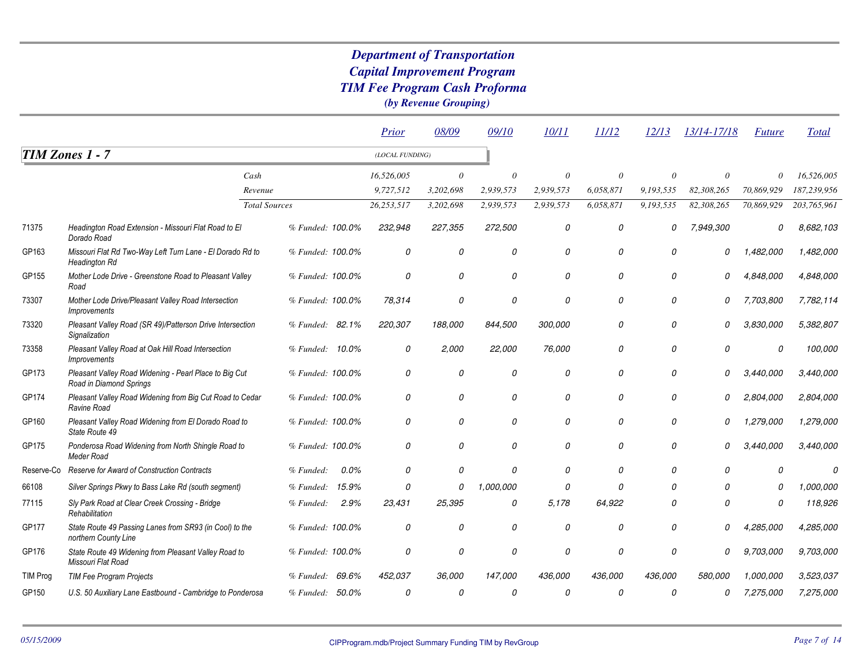# *Capital Improvement Program TIM Fee Program Cash ProformaDepartment of Transportation*

*(by Revenue Grouping)*

|                 |                                                                                   |                      |                    | Prior           | 08/09     | 09/10         | 10/11     | 11/12     | 12/13         | 13/14-17/18 | <b>Future</b> | <b>Total</b> |
|-----------------|-----------------------------------------------------------------------------------|----------------------|--------------------|-----------------|-----------|---------------|-----------|-----------|---------------|-------------|---------------|--------------|
|                 | TIM Zones 1 - 7                                                                   |                      |                    | (LOCAL FUNDING) |           |               |           |           |               |             |               |              |
|                 |                                                                                   | Cash                 |                    | 16,526,005      | $\theta$  | $\theta$      | 0         |           |               | $\theta$    | $\Omega$      | 16,526,005   |
|                 |                                                                                   | Revenue              |                    | 9,727,512       | 3,202,698 | 2,939,573     | 2.939.573 | 6,058,871 | 9,193,535     | 82,308,265  | 70,869,929    | 187.239.956  |
|                 |                                                                                   | <b>Total Sources</b> |                    | 26,253,517      | 3,202,698 | 2,939,573     | 2,939,573 | 6,058,871 | 9,193,535     | 82,308,265  | 70,869,929    | 203,765,961  |
| 71375           | Headington Road Extension - Missouri Flat Road to El<br>Dorado Road               |                      | % Funded: 100.0%   | 232,948         | 227,355   | 272,500       | 0         | 0         | 0             | 7,949,300   | 0             | 8,682,103    |
| GP163           | Missouri Flat Rd Two-Way Left Turn Lane - El Dorado Rd to<br><b>Headington Rd</b> |                      | % Funded: 100.0%   | 0               | 0         | 0             | 0         | 0         | 0             | 0           | 1,482,000     | 1,482,000    |
| GP155           | Mother Lode Drive - Greenstone Road to Pleasant Valley<br>Road                    |                      | % Funded: 100.0%   | 0               | 0         | 0             | 0         | 0         | 0             | 0           | 4,848,000     | 4,848,000    |
| 73307           | Mother Lode Drive/Pleasant Valley Road Intersection<br><i><b>Improvements</b></i> |                      | % Funded: 100.0%   | 78,314          | 0         | 0             | 0         | 0         | 0             | 0           | 7,703,800     | 7,782,114    |
| 73320           | Pleasant Valley Road (SR 49)/Patterson Drive Intersection<br>Signalization        |                      | % Funded: 82.1%    | 220,307         | 188,000   | 844,500       | 300.000   | 0         | $\mathcal{O}$ | 0           | 3.830.000     | 5,382,807    |
| 73358           | Pleasant Valley Road at Oak Hill Road Intersection<br><i><b>Improvements</b></i>  |                      | % Funded: 10.0%    | 0               | 2,000     | 22,000        | 76,000    | 0         | 0             | 0           | 0             | 100,000      |
| GP173           | Pleasant Valley Road Widening - Pearl Place to Big Cut<br>Road in Diamond Springs |                      | % Funded: 100.0%   | 0               | 0         | 0             | 0         | 0         | 0             | 0           | 3,440,000     | 3,440,000    |
| GP174           | Pleasant Valley Road Widening from Big Cut Road to Cedar<br>Ravine Road           |                      | % Funded: 100.0%   | 0               | 0         | 0             | 0         | 0         | $\Omega$      | 0           | 2,804,000     | 2,804,000    |
| GP160           | Pleasant Valley Road Widening from El Dorado Road to<br>State Route 49            |                      | % Funded: 100.0%   | 0               | 0         | 0             | 0         | 0         | 0             | 0           | ,279,000      | 1,279,000    |
| GP175           | Ponderosa Road Widening from North Shingle Road to<br>Meder Road                  |                      | % Funded: 100.0%   | 0               | 0         | 0             | 0         | 0         | 0             | O           | 3,440,000     | 3,440,000    |
| Reserve-Co      | Reserve for Award of Construction Contracts                                       |                      | % Funded:<br>0.0%  | 0               | 0         | $\mathcal{O}$ | 0         | 0         | 0             | 0           | $\Omega$      | 0            |
| 66108           | Silver Springs Pkwy to Bass Lake Rd (south segment)                               |                      | 15.9%<br>% Funded: | $\mathcal{O}$   | 0         | 1,000,000     | 0         | $\Omega$  | $\Omega$      | 0           | 0             | 1.000.000    |
| 77115           | Sly Park Road at Clear Creek Crossing - Bridge<br>Rehabilitation                  |                      | 2.9%<br>% Funded:  | 23,431          | 25,395    | 0             | 5.178     | 64,922    | $\Omega$      | 0           | 0             | 118,926      |
| GP177           | State Route 49 Passing Lanes from SR93 (in Cool) to the<br>northern County Line   |                      | % Funded: 100.0%   | 0               | 0         | 0             | 0         | 0         | 0             | 0           | 4,285,000     | 4,285,000    |
| GP176           | State Route 49 Widening from Pleasant Valley Road to<br>Missouri Flat Road        |                      | % Funded: 100.0%   | 0               | 0         | 0             | 0         | 0         | $\theta$      | 0           | 9,703,000     | 9,703,000    |
| <b>TIM Prog</b> | <b>TIM Fee Program Projects</b>                                                   |                      | 69.6%<br>% Funded: | 452,037         | 36,000    | 147,000       | 436,000   | 436,000   | 436,000       | 580,000     | 1.000.000     | 3,523,037    |
| GP150           | U.S. 50 Auxiliary Lane Eastbound - Cambridge to Ponderosa                         |                      | % Funded: 50.0%    | 0               | 0         | $\Omega$      | 0         | $\Omega$  | $\theta$      | 0           | 7,275,000     | 7,275,000    |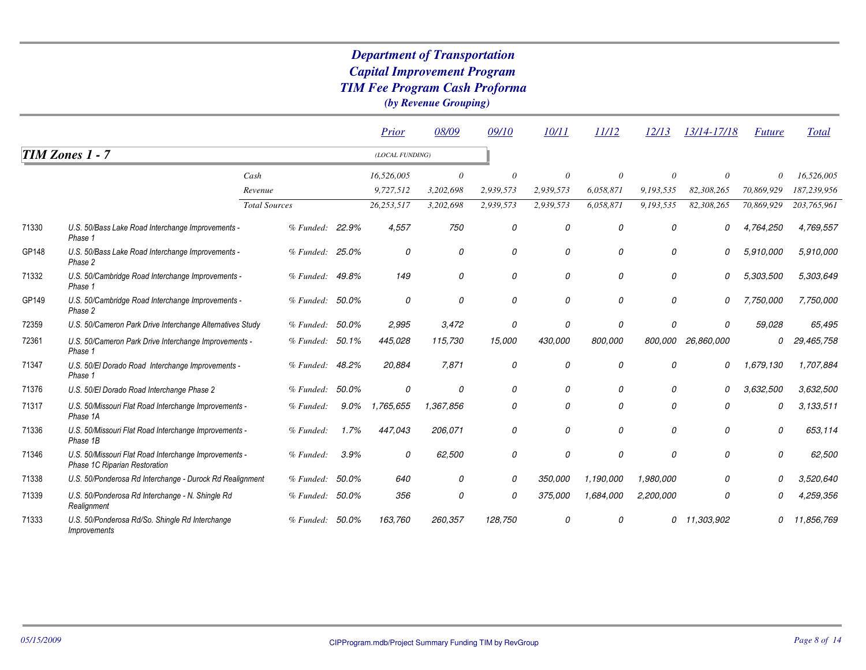|       |                                                                                        |                      |         | Prior           | 08/09     | 09/10         | 10/11     | 11/12         | 12/13     | 13/14-17/18 | <b>Future</b> | <b>Total</b> |
|-------|----------------------------------------------------------------------------------------|----------------------|---------|-----------------|-----------|---------------|-----------|---------------|-----------|-------------|---------------|--------------|
|       | TIM Zones 1 - 7                                                                        |                      |         | (LOCAL FUNDING) |           |               |           |               |           |             |               |              |
|       |                                                                                        | Cash                 |         | 16,526,005      | $\theta$  | $\theta$      | 0         | $\theta$      | $\Omega$  | $\theta$    | 0             | 16,526,005   |
|       |                                                                                        | Revenue              |         | 9,727,512       | 3,202,698 | 2,939,573     | 2,939,573 | 6,058,871     | 9,193,535 | 82,308,265  | 70,869,929    | 187,239,956  |
|       |                                                                                        | <b>Total Sources</b> |         | 26,253,517      | 3,202,698 | 2,939,573     | 2,939,573 | 6,058,871     | 9,193,535 | 82,308,265  | 70,869,929    | 203,765,961  |
| 71330 | U.S. 50/Bass Lake Road Interchange Improvements -<br>Phase 1                           | % Funded:            | 22.9%   | 4,557           | 750       | 0             | 0         | $\mathcal{O}$ | 0         | 0           | 4,764,250     | 4,769,557    |
| GP148 | U.S. 50/Bass Lake Road Interchange Improvements -<br>Phase 2                           | % Funded: 25.0%      |         | 0               | 0         | 0             | 0         | 0             | 0         | 0           | 5,910,000     | 5,910,000    |
| 71332 | U.S. 50/Cambridge Road Interchange Improvements -<br>Phase 1                           | % Funded: 49.8%      |         | 149             | 0         | $\mathcal{O}$ | 0         | 0             | 0         | 0           | 5,303,500     | 5,303,649    |
| GP149 | U.S. 50/Cambridge Road Interchange Improvements -<br>Phase 2                           | % Funded: 50.0%      |         | 0               | 0         | 0             | 0         | 0             | 0         | 0           | 7,750,000     | 7,750,000    |
| 72359 | U.S. 50/Cameron Park Drive Interchange Alternatives Study                              | % Funded: 50.0%      |         | 2,995           | 3,472     | 0             | 0         | 0             | 0         | 0           | 59.028        | 65,495       |
| 72361 | U.S. 50/Cameron Park Drive Interchange Improvements -<br>Phase 1                       | % Funded: 50.1%      |         | 445,028         | 115,730   | 15,000        | 430,000   | 800,000       | 800,000   | 26,860,000  | 0             | 29,465,758   |
| 71347 | U.S. 50/El Dorado Road Interchange Improvements -<br>Phase 1                           | % Funded: 48.2%      |         | 20,884          | 7,871     | 0             | 0         | 0             | 0         | 0           | 1,679,130     | 1,707,884    |
| 71376 | U.S. 50/El Dorado Road Interchange Phase 2                                             | % Funded:            | 50.0%   | 0               | 0         | 0             | 0         | 0             | $\Omega$  | 0           | 3,632,500     | 3,632,500    |
| 71317 | U.S. 50/Missouri Flat Road Interchange Improvements -<br>Phase 1A                      | % Funded:            | $9.0\%$ | 1,765,655       | 1,367,856 | 0             | 0         | 0             | 0         | 0           | 0             | 3,133,511    |
| 71336 | U.S. 50/Missouri Flat Road Interchange Improvements -<br>Phase 1B                      | % Funded:            | 1.7%    | 447,043         | 206,071   | 0             | 0         | 0             | 0         | 0           | 0             | 653.114      |
| 71346 | U.S. 50/Missouri Flat Road Interchange Improvements -<br>Phase 1C Riparian Restoration | % Funded:            | 3.9%    | 0               | 62,500    | 0             | 0         | 0             | 0         | 0           | 0             | 62,500       |
| 71338 | U.S. 50/Ponderosa Rd Interchange - Durock Rd Realignment                               | % Funded:            | 50.0%   | 640             | 0         | 0             | 350,000   | 1,190,000     | 1,980,000 | 0           | O             | 3,520,640    |
| 71339 | U.S. 50/Ponderosa Rd Interchange - N. Shingle Rd<br>Realignment                        | % Funded: 50.0%      |         | 356             | 0         | 0             | 375,000   | 1,684,000     | 2,200,000 | 0           | N             | 4,259,356    |
| 71333 | U.S. 50/Ponderosa Rd/So. Shingle Rd Interchange<br><i>Improvements</i>                 | % Funded:            | 50.0%   | 163,760         | 260,357   | 128,750       | n         |               |           | 11,303,902  | Ω             | 11,856,769   |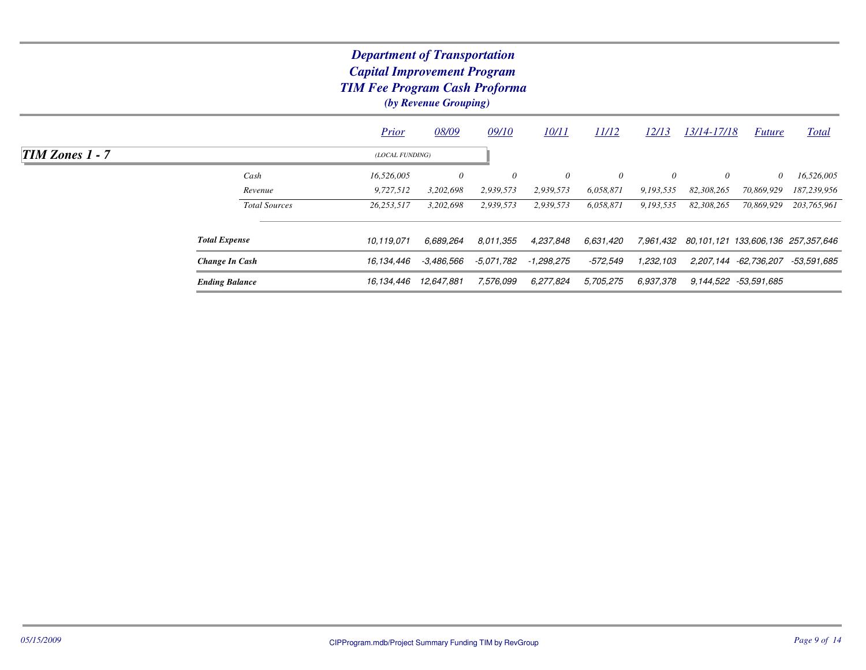# *Capital Improvement Program TIM Fee Program Cash ProformaDepartment of Transportation*

*(by Revenue Grouping)*

|                     |                       | <b>Prior</b>    | 08/09      | 09/10      | 10/11      | 11/12     | <u>12/13</u> | 13/14-17/18 | <i>Future</i>         | <b>Total</b>                       |
|---------------------|-----------------------|-----------------|------------|------------|------------|-----------|--------------|-------------|-----------------------|------------------------------------|
| $TIM\ Zones\ 1 - 7$ |                       | (LOCAL FUNDING) |            |            |            |           |              |             |                       |                                    |
|                     | Cash                  | 16,526,005      | 0          | 0          | 0          | $\theta$  | $\theta$     | $\theta$    | $\theta$              | 16,526,005                         |
|                     | Revenue               | 9,727,512       | 3,202,698  | 2,939,573  | 2,939,573  | 6,058,871 | 9,193,535    | 82,308,265  | 70,869,929            | 187,239,956                        |
|                     | <b>Total Sources</b>  | 26,253,517      | 3,202,698  | 2,939,573  | 2,939,573  | 6,058,871 | 9,193,535    | 82,308,265  | 70,869,929            | 203,765,961                        |
|                     | <b>Total Expense</b>  | 10.119.071      | 6.689.264  | 8.011.355  | 4,237,848  | 6.631.420 | 7,961,432    |             |                       | 80,101,121 133,606,136 257,357,646 |
|                     | Change In Cash        | 16,134,446      | -3,486,566 | -5.071.782 | -1,298,275 | -572.549  | 1,232,103    |             | 2,207,144 -62,736,207 | -53,591,685                        |
|                     | <b>Ending Balance</b> | 16,134,446      | 12,647,881 | 7,576,099  | 6,277,824  | 5,705,275 | 6.937.378    |             | 9,144,522 -53,591,685 |                                    |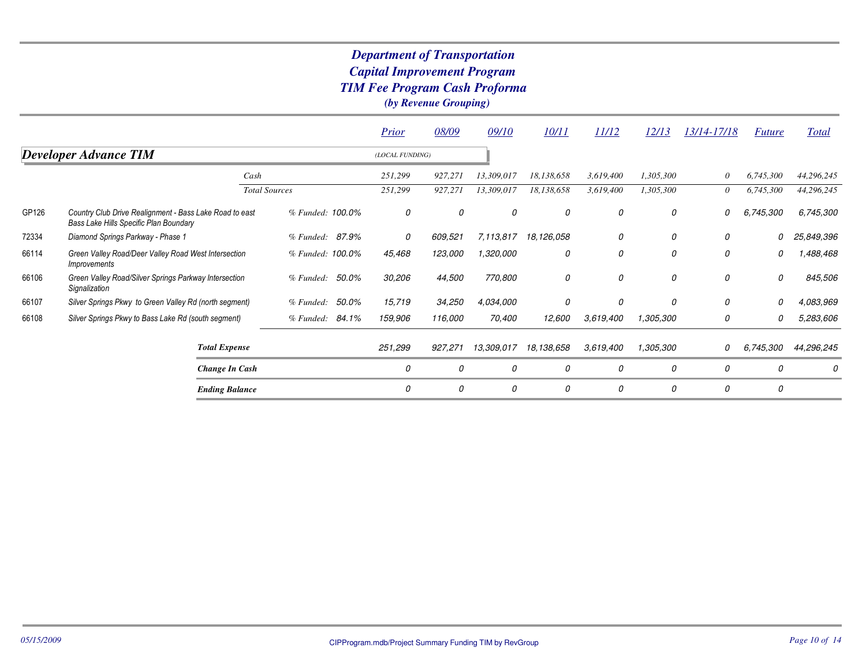|       |                                                                                                   |                      |                  |       | Prior           | 08/09   | 09/10      | 10/11      | 11/12     | 12/13     | 13/14-17/18 | <b>Future</b> | <b>Total</b> |
|-------|---------------------------------------------------------------------------------------------------|----------------------|------------------|-------|-----------------|---------|------------|------------|-----------|-----------|-------------|---------------|--------------|
|       | <b>Developer Advance TIM</b>                                                                      |                      |                  |       | (LOCAL FUNDING) |         |            |            |           |           |             |               |              |
|       |                                                                                                   | Cash                 |                  |       | 251,299         | 927,271 | 13,309,017 | 18,138,658 | 3,619,400 | 1,305,300 | 0           | 6,745,300     | 44,296,245   |
|       |                                                                                                   | <b>Total Sources</b> |                  |       | 251,299         | 927,271 | 13,309,017 | 18,138,658 | 3,619,400 | 1,305,300 | 0           | 6,745,300     | 44,296,245   |
| GP126 | Country Club Drive Realignment - Bass Lake Road to east<br>Bass Lake Hills Specific Plan Boundary |                      | % Funded: 100.0% |       | 0               | 0       | 0          | 0          | 0         | 0         | 0           | 6,745,300     | 6,745,300    |
| 72334 | Diamond Springs Parkway - Phase 1                                                                 |                      | % Funded: 87.9%  |       | 0               | 609,521 | 7,113,817  | 18,126,058 | 0         | 0         | 0           | 0             | 25,849,396   |
| 66114 | Green Valley Road/Deer Valley Road West Intersection<br><i>Improvements</i>                       |                      | % Funded: 100.0% |       | 45,468          | 123,000 | 1,320,000  | 0          | 0         | 0         | 0           | 0             | ,488,468     |
| 66106 | Green Valley Road/Silver Springs Parkway Intersection<br>Signalization                            |                      | % Funded: 50.0%  |       | 30,206          | 44,500  | 770,800    | 0          | 0         | 0         | 0           | 0             | 845,506      |
| 66107 | Silver Springs Pkwy to Green Valley Rd (north segment)                                            |                      | % Funded:        | 50.0% | 15,719          | 34,250  | 4,034,000  | 0          | 0         | 0         | 0           | 0             | 4,083,969    |
| 66108 | Silver Springs Pkwy to Bass Lake Rd (south segment)                                               |                      | % Funded: 84.1%  |       | 159,906         | 116,000 | 70,400     | 12,600     | 3,619,400 | 1,305,300 | 0           | 0             | 5,283,606    |
|       | <b>Total Expense</b>                                                                              |                      |                  |       | 251,299         | 927,271 | 13,309,017 | 18,138,658 | 3,619,400 | 1,305,300 | 0           | 6,745,300     | 44,296,245   |
|       | Change In Cash                                                                                    |                      |                  |       | 0               | 0       | 0          | 0          | 0         | 0         | 0           | 0             | 0            |
|       | <b>Ending Balance</b>                                                                             |                      |                  |       | 0               | 0       | 0          | 0          | 0         | 0         | 0           | 0             |              |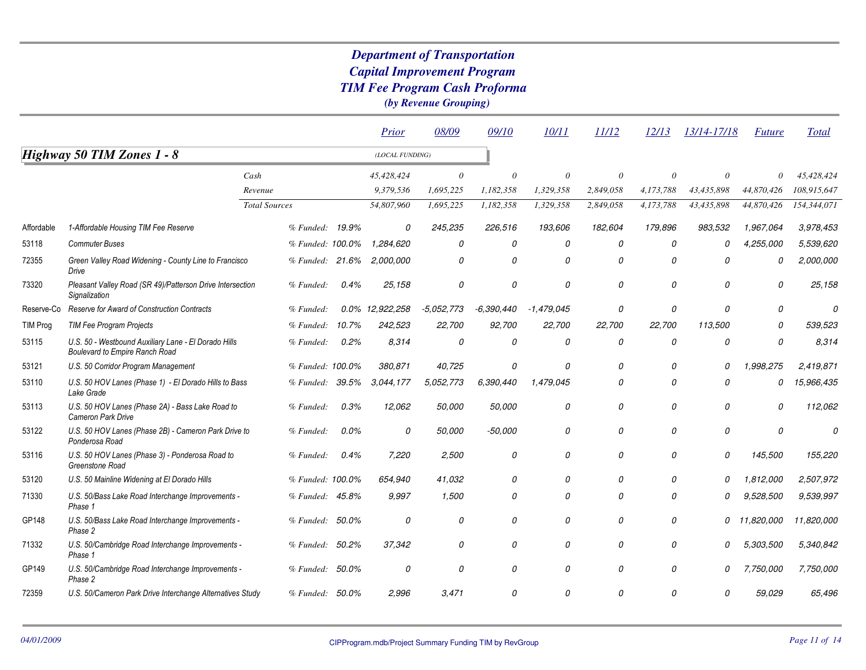|                 |                                                                                               |                      |       | Prior           | 08/09        | 09/10        | 10/11        | 11/12     | 12/13     | 13/14-17/18 | <b>Future</b> | <b>Total</b> |
|-----------------|-----------------------------------------------------------------------------------------------|----------------------|-------|-----------------|--------------|--------------|--------------|-----------|-----------|-------------|---------------|--------------|
|                 | <b>Highway 50 TIM Zones 1 - 8</b>                                                             |                      |       | (LOCAL FUNDING) |              |              |              |           |           |             |               |              |
|                 |                                                                                               | Cash                 |       | 45,428,424      | $\theta$     | $\theta$     | $\theta$     | $\theta$  | $\Omega$  | $\theta$    | $\theta$      | 45,428,424   |
|                 |                                                                                               | Revenue              |       | 9,379,536       | 1,695,225    | 1,182,358    | 1,329,358    | 2,849,058 | 4,173,788 | 43,435,898  | 44,870,426    | 108,915,647  |
|                 |                                                                                               | <b>Total Sources</b> |       | 54,807,960      | 1,695,225    | 1,182,358    | 1,329,358    | 2,849,058 | 4,173,788 | 43,435,898  | 44,870,426    | 154,344,071  |
| Affordable      | 1-Affordable Housing TIM Fee Reserve                                                          | % Funded: 19.9%      |       | $\mathcal{O}$   | 245,235      | 226,516      | 193,606      | 182,604   | 179,896   | 983,532     | 1,967,064     | 3,978,453    |
| 53118           | <b>Commuter Buses</b>                                                                         | % Funded: 100.0%     |       | 1,284,620       | 0            | 0            | 0            | 0         | 0         | 0           | 4,255,000     | 5,539,620    |
| 72355           | Green Valley Road Widening - County Line to Francisco<br>Drive                                | % Funded: 21.6%      |       | 2,000,000       | 0            | 0            | 0            | 0         | $\Omega$  | 0           | 0             | 2,000,000    |
| 73320           | Pleasant Valley Road (SR 49)/Patterson Drive Intersection<br>Signalization                    | % Funded:            | 0.4%  | 25,158          | 0            | 0            | 0            | 0         | 0         | 0           | 0             | 25,158       |
| Reserve-Co      | Reserve for Award of Construction Contracts                                                   | % Funded:            |       | 0.0% 12,922,258 | $-5.052,773$ | $-6,390,440$ | $-1,479,045$ | 0         | 0         | 0           | 0             | O            |
| <b>TIM Prog</b> | <b>TIM Fee Program Projects</b>                                                               | % Funded:            | 10.7% | 242,523         | 22,700       | 92,700       | 22,700       | 22,700    | 22,700    | 113,500     | 0             | 539,523      |
| 53115           | U.S. 50 - Westbound Auxiliary Lane - El Dorado Hills<br><b>Boulevard to Empire Ranch Road</b> | % Funded:            | 0.2%  | 8.314           | 0            | 0            | 0            | 0         | 0         | 0           | 0             | 8,314        |
| 53121           | U.S. 50 Corridor Program Management                                                           | % Funded: 100.0%     |       | 380,871         | 40,725       | 0            | 0            | 0         | 0         | 0           | 1,998,275     | 2,419,871    |
| 53110           | U.S. 50 HOV Lanes (Phase 1) - El Dorado Hills to Bass<br>Lake Grade                           | % Funded: 39.5%      |       | 3,044,177       | 5,052,773    | 6,390,440    | 1,479,045    | 0         | 0         | 0           | 0             | 15,966,435   |
| 53113           | U.S. 50 HOV Lanes (Phase 2A) - Bass Lake Road to<br><b>Cameron Park Drive</b>                 | % Funded:            | 0.3%  | 12,062          | 50,000       | 50,000       | 0            | 0         | 0         | 0           | 0             | 112,062      |
| 53122           | U.S. 50 HOV Lanes (Phase 2B) - Cameron Park Drive to<br>Ponderosa Road                        | % Funded:            | 0.0%  | 0               | 50,000       | $-50,000$    | 0            | 0         | 0         | 0           | 0             | 0            |
| 53116           | U.S. 50 HOV Lanes (Phase 3) - Ponderosa Road to<br>Greenstone Road                            | % Funded:            | 0.4%  | 7,220           | 2,500        | 0            | 0            | 0         | 0         | 0           | 145,500       | 155,220      |
| 53120           | U.S. 50 Mainline Widening at El Dorado Hills                                                  | % Funded: 100.0%     |       | 654,940         | 41,032       | 0            | 0            | 0         | O         | 0           | 1,812,000     | 2,507,972    |
| 71330           | U.S. 50/Bass Lake Road Interchange Improvements -<br>Phase 1                                  | % Funded: 45.8%      |       | 9,997           | 1,500        | 0            | 0            | 0         | O         | 0           | 9,528,500     | 9,539,997    |
| GP148           | U.S. 50/Bass Lake Road Interchange Improvements -<br>Phase 2                                  | % Funded:            | 50.0% | 0               | 0            | 0            | 0            | 0         | 0         | 0           | 11,820,000    | 11,820,000   |
| 71332           | U.S. 50/Cambridge Road Interchange Improvements -<br>Phase 1                                  | % Funded: 50.2%      |       | 37,342          | 0            | 0            | 0            | 0         | 0         | 0           | 5,303,500     | 5,340,842    |
| GP149           | U.S. 50/Cambridge Road Interchange Improvements -<br>Phase 2                                  | % Funded: 50.0%      |       | 0               | 0            | 0            | 0            | 0         | 0         | 0           | 7,750,000     | 7,750,000    |
| 72359           | U.S. 50/Cameron Park Drive Interchange Alternatives Study                                     | % Funded: 50.0%      |       | 2,996           | 3,471        | 0            | 0            | 0         | 0         | 0           | 59,029        | 65,496       |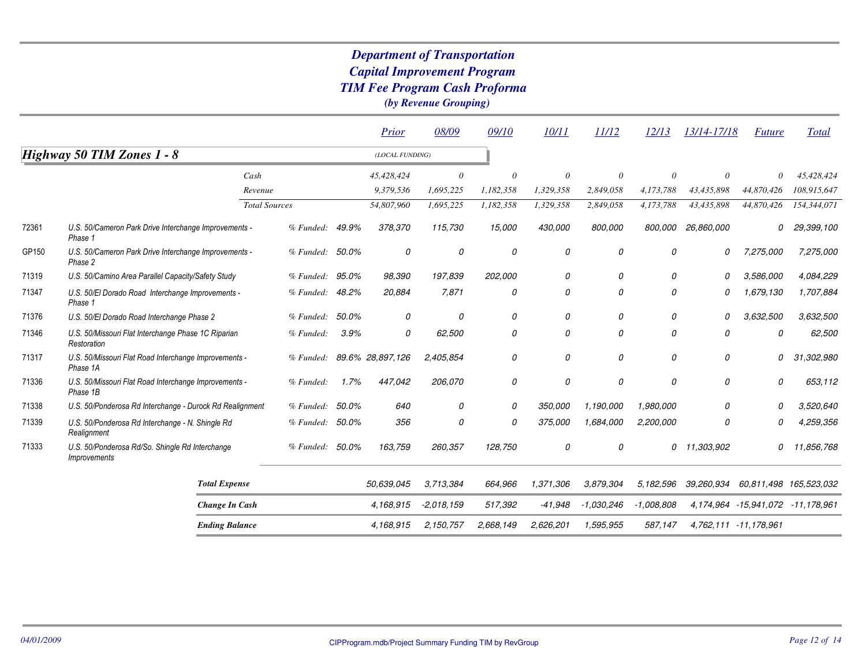|       |                                                                               |                      |                 |       | Prior            | 08/09        | 09/10     | 10/11     | 11/12        | 12/13        | 13/14-17/18 | <b>Future</b>                             | Total       |
|-------|-------------------------------------------------------------------------------|----------------------|-----------------|-------|------------------|--------------|-----------|-----------|--------------|--------------|-------------|-------------------------------------------|-------------|
|       | Highway 50 TIM Zones 1 - 8                                                    |                      |                 |       | (LOCAL FUNDING)  |              |           |           |              |              |             |                                           |             |
|       |                                                                               | Cash                 |                 |       | 45,428,424       | 0            | $\theta$  | $\theta$  | $\theta$     |              | $\theta$    | $\theta$                                  | 45,428,424  |
|       |                                                                               | Revenue              |                 |       | 9,379,536        | 1,695,225    | 1,182,358 | 1,329,358 | 2,849,058    | 4,173,788    | 43,435,898  | 44,870,426                                | 108,915,647 |
|       |                                                                               | <b>Total Sources</b> |                 |       | 54,807,960       | 1,695,225    | 1,182,358 | 1,329,358 | 2,849,058    | 4,173,788    | 43,435,898  | 44,870,426                                | 154,344,071 |
| 72361 | U.S. 50/Cameron Park Drive Interchange Improvements -<br>Phase 1              |                      | % Funeded:      | 49.9% | 378,370          | 115,730      | 15,000    | 430,000   | 800,000      | 800,000      | 26,860,000  | 0                                         | 29,399,100  |
| GP150 | U.S. 50/Cameron Park Drive Interchange Improvements -<br>Phase 2              |                      | % Funded: 50.0% |       | 0                | 0            | 0         | 0         | 0            | 0            | 0           | 7,275,000                                 | 7,275,000   |
| 71319 | U.S. 50/Camino Area Parallel Capacity/Safety Study                            |                      | % Funded:       | 95.0% | 98,390           | 197,839      | 202,000   | 0         | 0            | 0            | 0           | 3,586,000                                 | 4,084,229   |
| 71347 | U.S. 50/El Dorado Road Interchange Improvements -<br>Phase 1                  |                      | % Funded:       | 48.2% | 20,884           | 7,871        | 0         | 0         | 0            | 0            | 0           | 1,679,130                                 | 1,707,884   |
| 71376 | U.S. 50/El Dorado Road Interchange Phase 2                                    |                      | % Funded:       | 50.0% | 0                | 0            | 0         | 0         | 0            | 0            | 0           | 3,632,500                                 | 3,632,500   |
| 71346 | U.S. 50/Missouri Flat Interchange Phase 1C Riparian<br>Restoration            |                      | % Funded:       | 3.9%  | 0                | 62,500       | 0         | 0         | 0            | 0            | 0           | 0                                         | 62,500      |
| 71317 | U.S. 50/Missouri Flat Road Interchange Improvements -<br>Phase 1A             |                      | % Funded:       |       | 89.6% 28,897,126 | 2,405,854    | 0         | 0         | 0            | 0            | 0           | 0                                         | 31,302,980  |
| 71336 | U.S. 50/Missouri Flat Road Interchange Improvements -<br>Phase 1B             |                      | % Funded:       | 1.7%  | 447,042          | 206,070      | 0         | 0         | 0            | 0            | $\theta$    | 0                                         | 653,112     |
| 71338 | U.S. 50/Ponderosa Rd Interchange - Durock Rd Realignment                      |                      | % Funded:       | 50.0% | 640              | 0            | 0         | 350,000   | 1,190,000    | 1,980,000    | 0           | O                                         | 3,520,640   |
| 71339 | U.S. 50/Ponderosa Rd Interchange - N. Shingle Rd<br>Realignment               |                      | % Funded:       | 50.0% | 356              | 0            | 0         | 375,000   | 1.684.000    | 2,200,000    | 0           | 0                                         | 4,259,356   |
| 71333 | U.S. 50/Ponderosa Rd/So. Shingle Rd Interchange<br><i><b>Improvements</b></i> |                      | % Funded:       | 50.0% | 163,759          | 260,357      | 128,750   | 0         | 0            | 0            | 11,303,902  | 0                                         | 11,856,768  |
|       | <b>Total Expense</b>                                                          |                      |                 |       | 50.639.045       | 3,713,384    | 664,966   | 1,371,306 | 3.879.304    | 5,182,596    | 39,260,934  | 60,811,498 165,523,032                    |             |
|       | Change In Cash                                                                |                      |                 |       | 4,168,915        | $-2,018,159$ | 517,392   | $-41,948$ | $-1,030,246$ | $-1,008,808$ |             | 4, 174, 964 - 15, 941, 072 - 11, 178, 961 |             |
|       | <b>Ending Balance</b>                                                         |                      |                 |       | 4.168.915        | 2,150,757    | 2,668,149 | 2,626,201 | 1,595,955    | 587,147      |             | 4,762,111 -11,178,961                     |             |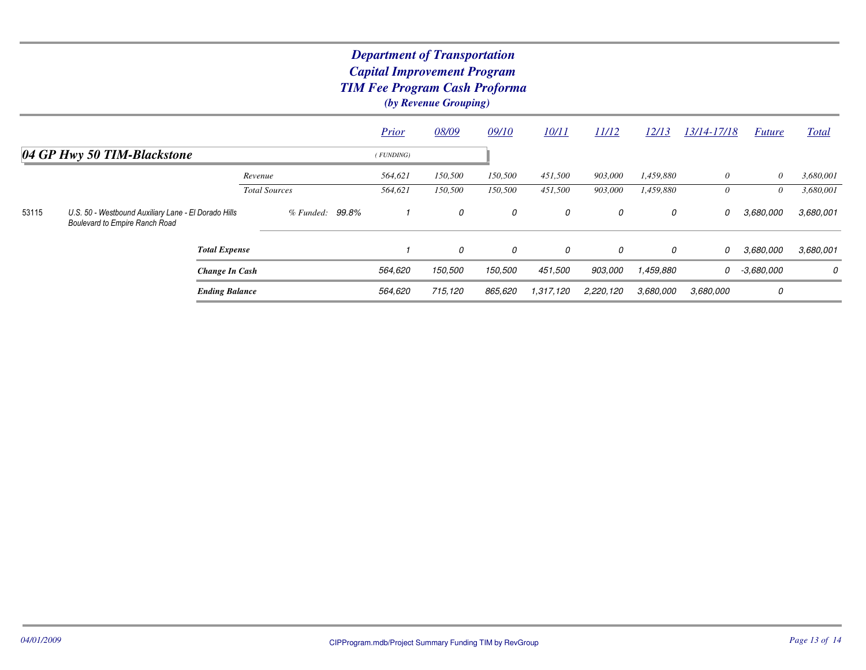|                             |                                                                                               |                      | <b>Prior</b> | 08/09   | 09/10   | 10/11     | 11/12     | 12/13     | 13/14-17/18 | <i>Future</i> | Total     |
|-----------------------------|-----------------------------------------------------------------------------------------------|----------------------|--------------|---------|---------|-----------|-----------|-----------|-------------|---------------|-----------|
| 04 GP Hwy 50 TIM-Blackstone |                                                                                               |                      | (FUNDING)    |         |         |           |           |           |             |               |           |
|                             |                                                                                               | Revenue              | 564,621      | 150,500 | 150,500 | 451,500   | 903,000   | 1,459,880 | 0           | $\theta$      | 3,680,001 |
|                             |                                                                                               | <b>Total Sources</b> | 564,621      | 150,500 | 150,500 | 451,500   | 903,000   | 1,459,880 | 0           | $\theta$      | 3,680,001 |
| 53115                       | U.S. 50 - Westbound Auxiliary Lane - El Dorado Hills<br><b>Boulevard to Empire Ranch Road</b> | 99.8%<br>% Funded:   |              | 0       | 0       | 0         | 0         | 0         | 0           | 3,680,000     | 3,680,001 |
|                             | <b>Total Expense</b>                                                                          |                      |              | 0       | 0       | 0         | 0         | 0         | 0           | 3,680,000     | 3,680,001 |
|                             | Change In Cash                                                                                |                      | 564,620      | 150,500 | 150,500 | 451,500   | 903.000   | 1,459,880 | 0           | -3,680,000    | 0         |
|                             | <b>Ending Balance</b>                                                                         |                      | 564,620      | 715,120 | 865.620 | 1,317,120 | 2,220,120 | 3,680,000 | 3.680,000   | 0             |           |